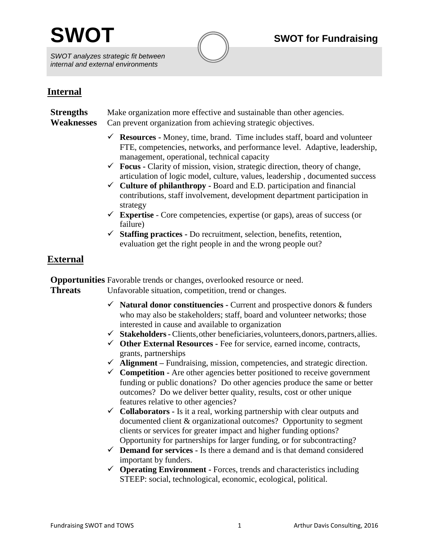*SWOT analyzes strategic fit between internal and external environments*



# **Internal**

**Strengths** Make organization more effective and sustainable than other agencies. **Weaknesses** Can prevent organization from achieving strategic objectives.

- **Resources -** Money, time, brand. Time includes staff, board and volunteer FTE, competencies, networks, and performance level. Adaptive, leadership, management, operational, technical capacity
- $\checkmark$  **Focus -** Clarity of mission, vision, strategic direction, theory of change, articulation of logic model, culture, values, leadership , documented success
- $\checkmark$  **Culture of philanthropy -** Board and E.D. participation and financial contributions, staff involvement, development department participation in strategy
- $\checkmark$  **Expertise** Core competencies, expertise (or gaps), areas of success (or failure)
- **Staffing practices -** Do recruitment, selection, benefits, retention, evaluation get the right people in and the wrong people out?

# **External**

**Opportunities** Favorable trends or changes, overlooked resource or need. **Threats** Unfavorable situation, competition, trend or changes.

- **Natural donor constituencies -** Current and prospective donors & funders who may also be stakeholders; staff, board and volunteer networks; those interested in cause and available to organization
- **Stakeholders-** Clients,other beneficiaries,volunteers,donors,partners,allies.
- **Other External Resources -** Fee for service, earned income, contracts, grants, partnerships
- **Alignment –** Fundraising, mission, competencies, and strategic direction.
- $\checkmark$  **Competition -** Are other agencies better positioned to receive government funding or public donations? Do other agencies produce the same or better outcomes? Do we deliver better quality, results, cost or other unique features relative to other agencies?
- $\checkmark$  **Collaborators -** Is it a real, working partnership with clear outputs and documented client & organizational outcomes? Opportunity to segment clients or services for greater impact and higher funding options? Opportunity for partnerships for larger funding, or for subcontracting?
- $\checkmark$  **Demand for services** Is there a demand and is that demand considered important by funders.
- **Operating Environment -** Forces, trends and characteristics including STEEP: social, technological, economic, ecological, political.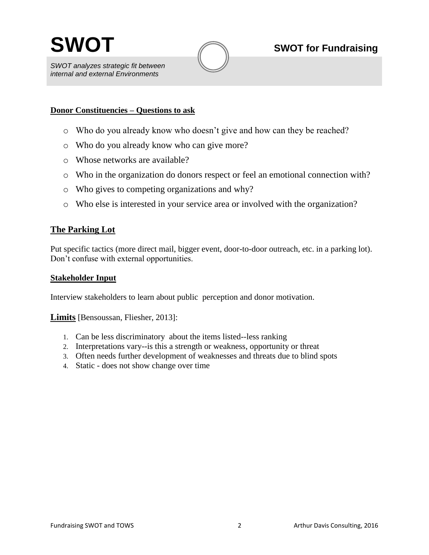

*SWOT analyzes strategic fit between internal and external Environments*

#### **Donor Constituencies – Questions to ask**

- o Who do you already know who doesn't give and how can they be reached?
- o Who do you already know who can give more?
- o Whose networks are available?
- o Who in the organization do donors respect or feel an emotional connection with?
- o Who gives to competing organizations and why?
- o Who else is interested in your service area or involved with the organization?

#### **The Parking Lot**

Put specific tactics (more direct mail, bigger event, door-to-door outreach, etc. in a parking lot). Don't confuse with external opportunities.

#### **Stakeholder Input**

Interview stakeholders to learn about public perception and donor motivation.

#### **Limits** [Bensoussan, Fliesher, 2013]:

- 1. Can be less discriminatory about the items listed--less ranking
- 2. Interpretations vary--is this a strength or weakness, opportunity or threat
- 3. Often needs further development of weaknesses and threats due to blind spots
- 4. Static does not show change over time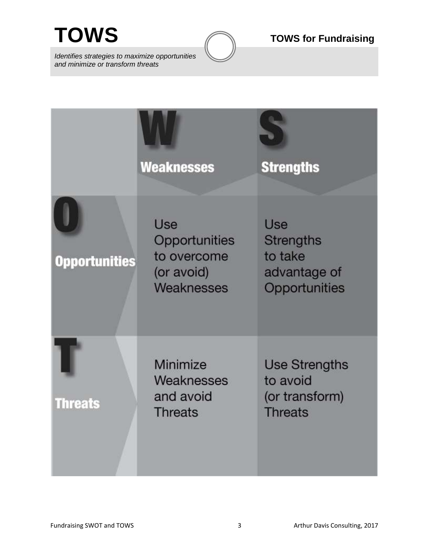*Identifies strategies to maximize opportunities and minimize or transform threats*



|                      | <b>Weaknesses</b>                                               | <b>Strengths</b>                                                           |
|----------------------|-----------------------------------------------------------------|----------------------------------------------------------------------------|
| <b>Opportunities</b> | Use<br>Opportunities<br>to overcome<br>(or avoid)<br>Weaknesses | <b>Use</b><br><b>Strengths</b><br>to take<br>advantage of<br>Opportunities |
| <b>Threats</b>       | Minimize<br>Weaknesses<br>and avoid<br><b>Threats</b>           | <b>Use Strengths</b><br>to avoid<br>(or transform)<br><b>Threats</b>       |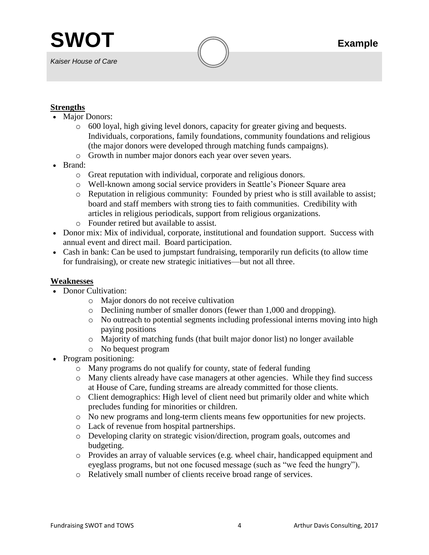*Kaiser House of Care*

## **Strengths**

- Major Donors:
	- o 600 loyal, high giving level donors, capacity for greater giving and bequests. Individuals, corporations, family foundations, community foundations and religious (the major donors were developed through matching funds campaigns).
	- o Growth in number major donors each year over seven years.
- Brand:
	- o Great reputation with individual, corporate and religious donors.
	- o Well-known among social service providers in Seattle's Pioneer Square area
	- o Reputation in religious community: Founded by priest who is still available to assist; board and staff members with strong ties to faith communities. Credibility with articles in religious periodicals, support from religious organizations.
	- o Founder retired but available to assist.
- Donor mix: Mix of individual, corporate, institutional and foundation support. Success with annual event and direct mail. Board participation.
- Cash in bank: Can be used to jumpstart fundraising, temporarily run deficits (to allow time for fundraising), or create new strategic initiatives—but not all three.

## **Weaknesses**

- Donor Cultivation:
	- o Major donors do not receive cultivation
	- o Declining number of smaller donors (fewer than 1,000 and dropping).
	- o No outreach to potential segments including professional interns moving into high paying positions
	- o Majority of matching funds (that built major donor list) no longer available
	- o No bequest program
- Program positioning:
	- o Many programs do not qualify for county, state of federal funding
	- o Many clients already have case managers at other agencies. While they find success at House of Care, funding streams are already committed for those clients.
	- o Client demographics: High level of client need but primarily older and white which precludes funding for minorities or children.
	- o No new programs and long-term clients means few opportunities for new projects.
	- o Lack of revenue from hospital partnerships.
	- o Developing clarity on strategic vision/direction, program goals, outcomes and budgeting.
	- o Provides an array of valuable services (e.g. wheel chair, handicapped equipment and eyeglass programs, but not one focused message (such as "we feed the hungry").
	- o Relatively small number of clients receive broad range of services.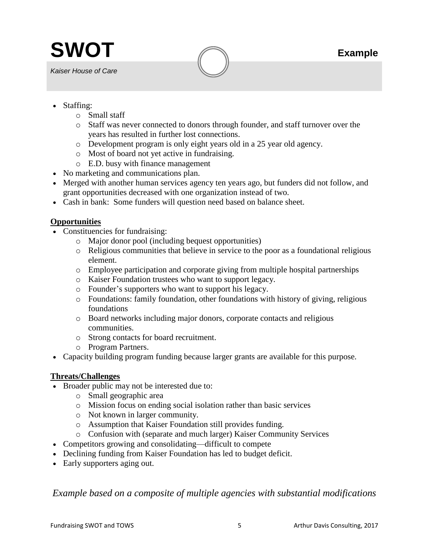

*Kaiser House of Care*

- Staffing:
	- o Small staff
	- o Staff was never connected to donors through founder, and staff turnover over the years has resulted in further lost connections.
	- o Development program is only eight years old in a 25 year old agency.
	- o Most of board not yet active in fundraising.
	- o E.D. busy with finance management
- No marketing and communications plan.
- Merged with another human services agency ten years ago, but funders did not follow, and grant opportunities decreased with one organization instead of two.
- Cash in bank: Some funders will question need based on balance sheet.

## **Opportunities**

- Constituencies for fundraising:
	- o Major donor pool (including bequest opportunities)
	- o Religious communities that believe in service to the poor as a foundational religious element.
	- o Employee participation and corporate giving from multiple hospital partnerships
	- o Kaiser Foundation trustees who want to support legacy.
	- o Founder's supporters who want to support his legacy.
	- o Foundations: family foundation, other foundations with history of giving, religious foundations
	- o Board networks including major donors, corporate contacts and religious communities.
	- o Strong contacts for board recruitment.
	- o Program Partners.
- Capacity building program funding because larger grants are available for this purpose.

## **Threats/Challenges**

- Broader public may not be interested due to:
	- o Small geographic area
	- o Mission focus on ending social isolation rather than basic services
	- o Not known in larger community.
	- o Assumption that Kaiser Foundation still provides funding.
	- o Confusion with (separate and much larger) Kaiser Community Services
- Competitors growing and consolidating—difficult to compete
- Declining funding from Kaiser Foundation has led to budget deficit.
- Early supporters aging out.

# *Example based on a composite of multiple agencies with substantial modifications*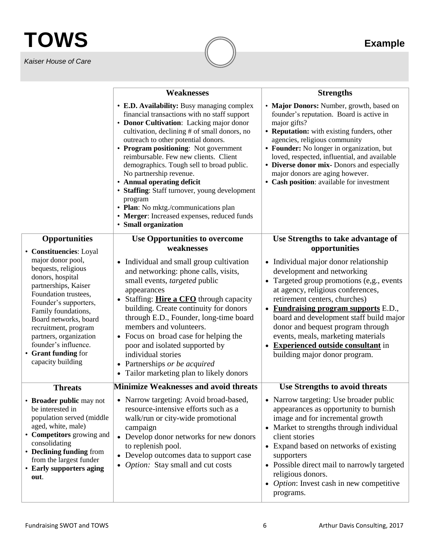# **TOWS Example**

*Kaiser House of Care*

|                                                                                                                                                                                                                                                                                                             | <b>Weaknesses</b>                                                                                                                                                                                                                                                                                                                                                                                                                                                                                                                                                                                | <b>Strengths</b>                                                                                                                                                                                                                                                                                                                                                                                                                  |
|-------------------------------------------------------------------------------------------------------------------------------------------------------------------------------------------------------------------------------------------------------------------------------------------------------------|--------------------------------------------------------------------------------------------------------------------------------------------------------------------------------------------------------------------------------------------------------------------------------------------------------------------------------------------------------------------------------------------------------------------------------------------------------------------------------------------------------------------------------------------------------------------------------------------------|-----------------------------------------------------------------------------------------------------------------------------------------------------------------------------------------------------------------------------------------------------------------------------------------------------------------------------------------------------------------------------------------------------------------------------------|
|                                                                                                                                                                                                                                                                                                             | • E.D. Availability: Busy managing complex<br>financial transactions with no staff support<br>• Donor Cultivation: Lacking major donor<br>cultivation, declining # of small donors, no<br>outreach to other potential donors.<br>• Program positioning: Not government<br>reimbursable. Few new clients. Client<br>demographics. Tough sell to broad public.<br>No partnership revenue.<br>• Annual operating deficit<br>• Staffing: Staff turnover, young development<br>program<br>• Plan: No mktg./communications plan<br>• Merger: Increased expenses, reduced funds<br>• Small organization | • Major Donors: Number, growth, based on<br>founder's reputation. Board is active in<br>major gifts?<br>• Reputation: with existing funders, other<br>agencies, religious community<br>• Founder: No longer in organization, but<br>loved, respected, influential, and available<br>• Diverse donor mix- Donors and especially<br>major donors are aging however.<br>• Cash position: available for investment                    |
| <b>Opportunities</b><br>• Constituencies: Loyal                                                                                                                                                                                                                                                             | <b>Use Opportunities to overcome</b><br>weaknesses                                                                                                                                                                                                                                                                                                                                                                                                                                                                                                                                               | Use Strengths to take advantage of<br>opportunities                                                                                                                                                                                                                                                                                                                                                                               |
| major donor pool,<br>bequests, religious<br>donors, hospital<br>partnerships, Kaiser<br>Foundation trustees,<br>Founder's supporters,<br>Family foundations,<br>Board networks, board<br>recruitment, program<br>partners, organization<br>founder's influence.<br>• Grant funding for<br>capacity building | • Individual and small group cultivation<br>and networking: phone calls, visits,<br>small events, <i>targeted</i> public<br>appearances<br>• Staffing: Hire a CFO through capacity<br>building. Create continuity for donors<br>through E.D., Founder, long-time board<br>members and volunteers.<br>• Focus on broad case for helping the<br>poor and isolated supported by<br>individual stories<br>• Partnerships or be acquired<br>Tailor marketing plan to likely donors<br>$\bullet$                                                                                                       | • Individual major donor relationship<br>development and networking<br>• Targeted group promotions (e,g., events<br>at agency, religious conferences,<br>retirement centers, churches)<br>• Fundraising program supports E.D.,<br>board and development staff build major<br>donor and bequest program through<br>events, meals, marketing materials<br><b>Experienced outside consultant</b> in<br>building major donor program. |
| <b>Threats</b>                                                                                                                                                                                                                                                                                              | <b>Minimize Weaknesses and avoid threats</b>                                                                                                                                                                                                                                                                                                                                                                                                                                                                                                                                                     | Use Strengths to avoid threats                                                                                                                                                                                                                                                                                                                                                                                                    |
| • Broader public may not<br>be interested in<br>population served (middle)<br>aged, white, male)<br>• Competitors growing and<br>consolidating<br>• Declining funding from<br>from the largest funder<br>• Early supporters aging<br>out.                                                                   | • Narrow targeting: Avoid broad-based,<br>resource-intensive efforts such as a<br>walk/run or city-wide promotional<br>campaign<br>• Develop donor networks for new donors<br>to replenish pool.<br>Develop outcomes data to support case<br>$\bullet$<br><i>Option:</i> Stay small and cut costs<br>$\bullet$                                                                                                                                                                                                                                                                                   | • Narrow targeting: Use broader public<br>appearances as opportunity to burnish<br>image and for incremental growth<br>• Market to strengths through individual<br>client stories<br>• Expand based on networks of existing<br>supporters<br>• Possible direct mail to narrowly targeted<br>religious donors.<br>• <i>Option</i> : Invest cash in new competitive<br>programs.                                                    |